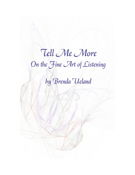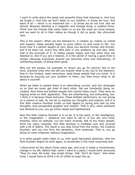I want to write about the great and powerful thing that listening is. And how we forget it. And how we don't listen to our children, or those we love. And least of all  $-$  which is so important too  $-$  to those we do not love. But we should. Because listening is a magnetic and strange thing, a creative force. Think how the friends that really listen to us are the ones we move toward, and we want to sit in their radius as though it did us good, like ultraviolet rays.

This is the reason: When we are listened to, it creates us, makes us unfold and expand. Ideas actually begin to grow within us and come to life. You know how if a person laughs at your jokes you become funnier and funnier, and if he does not, every tiny little joke in you weakens up and dies. Well, that is the principle of it. It makes people happy and free when they are listened to. And if you are a listener, it is the secret of having a good time in society (because everybody around you becomes lively and interesting), of comforting people, of doing them good.

Who are the people, for example, to whom you go for advice? Not to the hard, practical ones who can tell you exactly what to do, but to the listeners; that is, the kindest, least censorious, least bossy people that you know. It is because by pouring out your problem to them, you then know what to do about it yourself.

When we listen to people there is an alternating current, and this recharges us so that we never get tired of each other. We are constantly being recreated. Now there are brilliant people who cannot listen much. They have no ingoing wires on their apparatus. They are entertaining, but exhausting, too. I think it is because these lecturers, these brilliant performers, by not giving us a chance to talk, do not let us express our thoughts and expand; and it is this little creative fountain inside us that begins to spring and cast up new thoughts, and unexpected laughter and wisdom. That is why, when someone has listened to you, you go home rested and lighthearted.

Now this little creative fountain is in us all. It is the spirit, or the intelligence, or the imagination  $-$  whatever you want to call it. If you are very tired, strained, have no solitude, run too many errands, talk to too many people, drink too many cocktails, this little fountain is muddied over and covered with a lot of debris. The result is you stop living from the center, the creative fountain, and you live from the periphery, from externals. That is, you go along on mere willpower without imagination.

It is when people really listen to us, with quiet fascinated attention, that the little fountain begins to work again, to accelerate in the most surprising way.

I discovered all this about three years ago, and truly it made a revolutionary change in my life. Before that, when I went to a party I would think anxiously, "Now try hard. Be lively. Say bright things. Talk. Don't let down." And when tired, I would have to drink a lot of coffee to keep this up.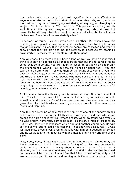Now before going to a party I just tell myself to listen with affection to anyone who talks to me, to be in their shoes when they talk; to try to know them without my mind pressing against theirs, or arguing, or changing the subject. No. My attitude is, "Tell me more. This person is showing me his soul. It is a little dry and meager and full of grinding talk just now, but presently he will begin to think, not just automatically to talk. He will show his true self. Then he will be wonderfully alive."

Sometimes, of course, I cannot listen as well as others. But when I have this listening power, people crowd around and their heads keep turning to me as though irresistibly pulled. It is not because people are conceited and want to show off that they are drawn to me, the listener. It is because by listening I have started up their creative fountain. I do them good.

Now why does it do them good? I have a kind of mystical notion about this. I think it is only by expressing all that is inside that purer and purer streams come. It is so in writing. You are taught in school to put down on paper only the bright things. Wrong. Pour out the dull things on paper too  $-$  you can tear them up afterward — for only then do the bright ones come. If you hold back the dull things, you are certain to hold back what is clear and beautiful and true and lively. So it is with people who have not been listened to in the right way — with affection and a kind of jolly excitement. Their creative fountain has been blocked. Only superficial talk comes out  $-$  what is prissy or gushing or merely nervous. No one has called out of them, by wonderful listening, what is true and alive.

I think women have this listening faculty more than men. It is not the fault of men. They lose it because of their long habit of striving in business, of selfassertion. And the more forceful men are, the less they can listen as they grow older. And that is why women in general are more fun than men, more restful and inspiring.

Now this non-listening of able men is the cause of one of the saddest things in the world — the loneliness of fathers, of those quietly sad men who move among their grown children like remote ghosts. When my father was over 70, he was a fiery, humorous, admirable man, a scholar, a man of great force. But he was deep in the loneliness of old age and another generation. He was so fond of me. But he could not hear me  $-$  not one word I said, really. I was just audience. I would walk around the lake with him on a beautiful afternoon and he would talk to me about Darwin and Huxley and Higher Criticism of the Bible.

"Yes, I see, I see," I kept saying and tried to keep my mind pinned to it, but I was restive and bored. There was a feeling of helplessness because he could not hear what I had to say about it. When I spoke I found myself shouting, as one does to a foreigner, and in a kind of despair that he could not hear me. After the walk I would feel that I had worked off my duty and I was anxious to get him settled and reading in his Morris chair, so that I could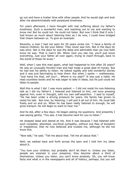go out and have a livelier time with other people. And he would sigh and look after me absentmindedly with perplexed loneliness.

For years afterward, I have thought with real suffering about my father's loneliness. Such a wonderful man, and reaching out to me and wanting to know me! But he could not. He could not listen. But now I think that if only I had known as much about listening then as I do now, I could have bridged that chasm between us. To give an example:

Recently, a man I had not seen for 20 years wrote me: "I have a family of mature children. So did your father. They never saw him. Not in the days he was alive. Not in the days he was the deep and admirable man we now both know he was. That is man's life. When next you see me, you'll just know everything. Just your father all over again, trying to reach through, back to the world of those he loves."

Well, when I saw this man again, what had happened to him after 20 years? He was an unusually forceful man and had made a great deal of money. But he had lost his ability to listen. He talked rapidly and told wonderful stories and it was just fascinating to hear them. But when I spoke  $-$  restlessness, "Just hand me that, will you?... Where is my pipe?" It was just a habit. He read countless books and he was eager to take in ideas, but he just could not listen to people.

Well this is what I did. I was more patient  $-$  I did not resist his non-listening talk as I did my father's. I listened and listened to him, not once pressing against him, even in thought, with my own self-assertion. I said to myself, "He has been under a driving pressure for years. His family has grown to resist his talk. But now, by listening, I will pull it all out of him. He must talk freely and on and on. When he has been really listened to enough, he will grow tranquil. He will begin to want to hear me."

And he did, after a few days. He began asking me questions. And presently I was saying gently, "You see, it has become hard for you to listen."

He stopped dead and stared at me. And it was because I had listened with such complete, absorbed, uncritical sympathy, without one flaw of boredom or impatience, that he now believed and trusted me, although he did not know this.

"Now talk," he said. "Tell me about that. Tell me all about that."

Well, we walked back and forth across the lawn and I told him my ideas about it.

"You love your children, but probably don't let them in. Unless you listen, people are wizened in your presence; they become about a third of themselves. Unless you listen, you can't know anybody. Oh, you will know facts and what is in the newspapers and all of history, perhaps, but you will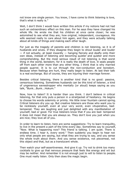not know one single person. You know, I have come to think listening is love, that's what it really is."

Well, I don't think I would have written this article if my notions had not had such an extraordinary effect on this man. For he says they have changed his whole life. He wrote me that his children at once came closer; he was astonished to see what they are; how original, independent, courageous. His wife seemed really to care about him again, and they were actually talking about all kinds of things and making each other laugh.

For just as the tragedy of parents and children is not listening, so it is of husbands and wives. If they disagree they begin to shout louder and louder  $-$  if not actually, at least inwardly  $-$  hanging fiercely and deafly onto their own ideas, instead of listening and becoming quieter and quieter and more comprehending. But the most serious result of not listening is that worst thing in the world, boredom; for it is really the death of love. It seals people off from each other more than any other thing. I think that is why married people quarrel. It is to cut through the non-conduction and boredom. Because when feelings are hurt, they really begin to listen. At last their talk is a real exchange. But of course, they are injuring their marriage forever.

Besides critical listening, there is another kind that is no good: passive, censorious listening. Sometimes husbands can be this kind of listener, a kind of ungenerous eavesdropper who mentally (or aloud) keeps saying as you talk, "Bunk...Bunk...Hokum."

Now, how to listen? It is harder than you think. I don't believe in critical listening, for that only puts a person in a straitjacket of hesitancy. He begins to choose his words solemnly or primly. His little inner fountain cannot spring. Critical listeners dry you up. But creative listeners are those who want you to be recklessly yourself, even at your very worst, even vituperative, badtempered. They are laughing and just delighted with any manifestation of yourself, bad or good. For true listeners know that if you are bad- tempered it does not mean that you are always so. They don't love you just when you are nice; they love all of you.

In order to learn to listen, here are some suggestions: Try to learn tranquility, to live in the present a part of the time every day. Sometimes say to yourself, "Now. What is happening now? This friend is talking. I am quiet. There is endless time. I hear it, every word." Then suddenly you begin to hear not only what people are saying, but what they are trying to say, and you sense the whole truth about them. And you sense existence, not piecemeal, not this object and that, but as a translucent whole.

Then watch your self-assertiveness. And give it up. Try not to drink too many cocktails to give up that nervous pressure that feels like energy and wit but may be neither. And remember it is not enough just to will to listen to people. One must really listen. Only then does the magic begin.